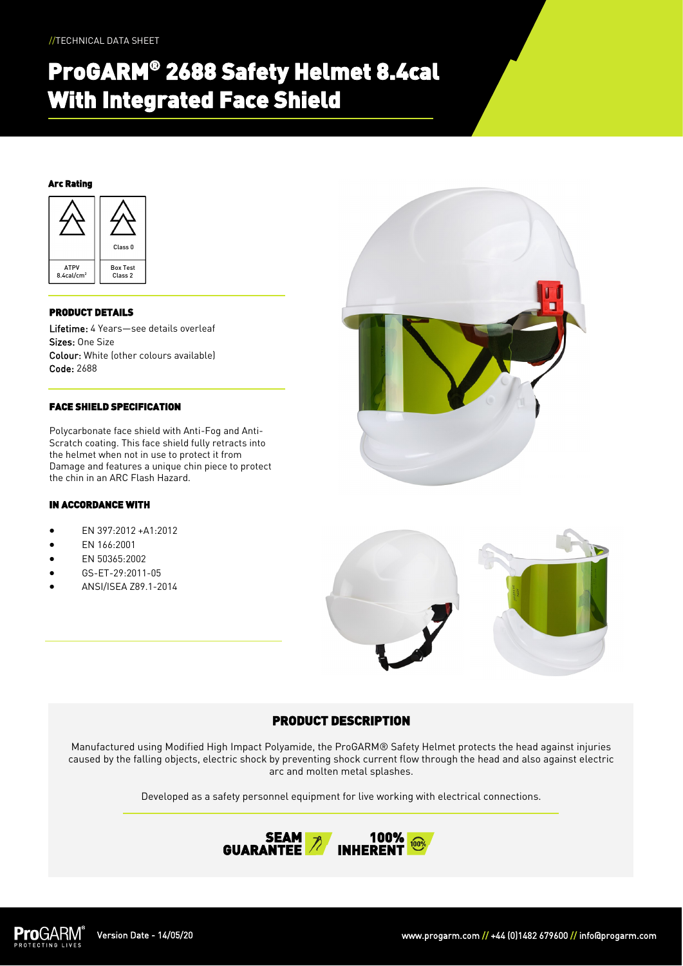# ProGARM® 2688 Safety Helmet 8.4cal With Integrated Face Shield

### Arc Rating



### PRODUCT DETAILS

Lifetime: 4 Years—see details overleaf Sizes: One Size Colour: White (other colours available) Code: 2688

### FACE SHIELD SPECIFICATION

Polycarbonate face shield with Anti-Fog and Anti-Scratch coating. This face shield fully retracts into the helmet when not in use to protect it from Damage and features a unique chin piece to protect the chin in an ARC Flash Hazard.

### IN ACCORDANCE WITH

- EN 397:2012 +A1:2012
- EN 166:2001
- EN 50365:2002
- GS-ET-29:2011-05
- ANSI/ISEA Z89.1-2014





# PRODUCT DESCRIPTION

Manufactured using Modified High Impact Polyamide, the ProGARM® Safety Helmet protects the head against injuries caused by the falling objects, electric shock by preventing shock current flow through the head and also against electric arc and molten metal splashes.

Developed as a safety personnel equipment for live working with electrical connections.